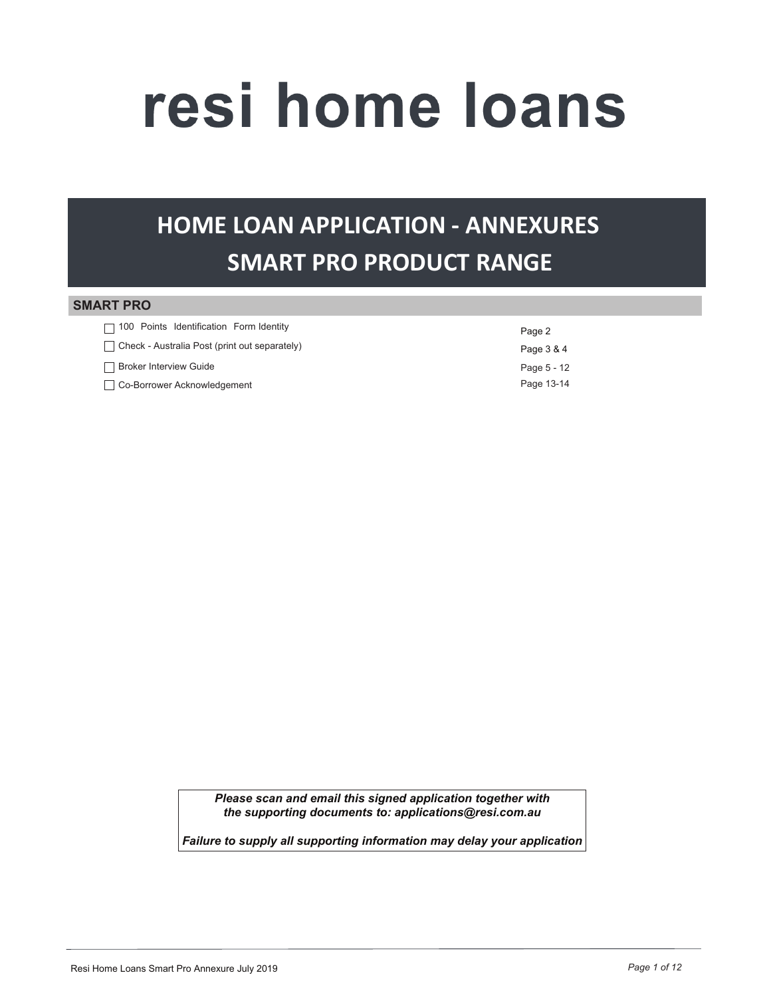# resi home loans

# **HOME LOAN APPLICATION - ANNEXURES SMART PRO PRODUCT RANGE**

#### **SMART PRO**

| $\Box$ 100 Points Identification Form Identity       | Page 2      |
|------------------------------------------------------|-------------|
| $\Box$ Check - Australia Post (print out separately) | Page 3 & 4  |
| □ Broker Interview Guide                             | Page 5 - 12 |
| Co-Borrower Acknowledgement                          | Page 13-14  |

Please scan and email this signed application together with the supporting documents to: applications@resi.com.au

Failure to supply all supporting information may delay your application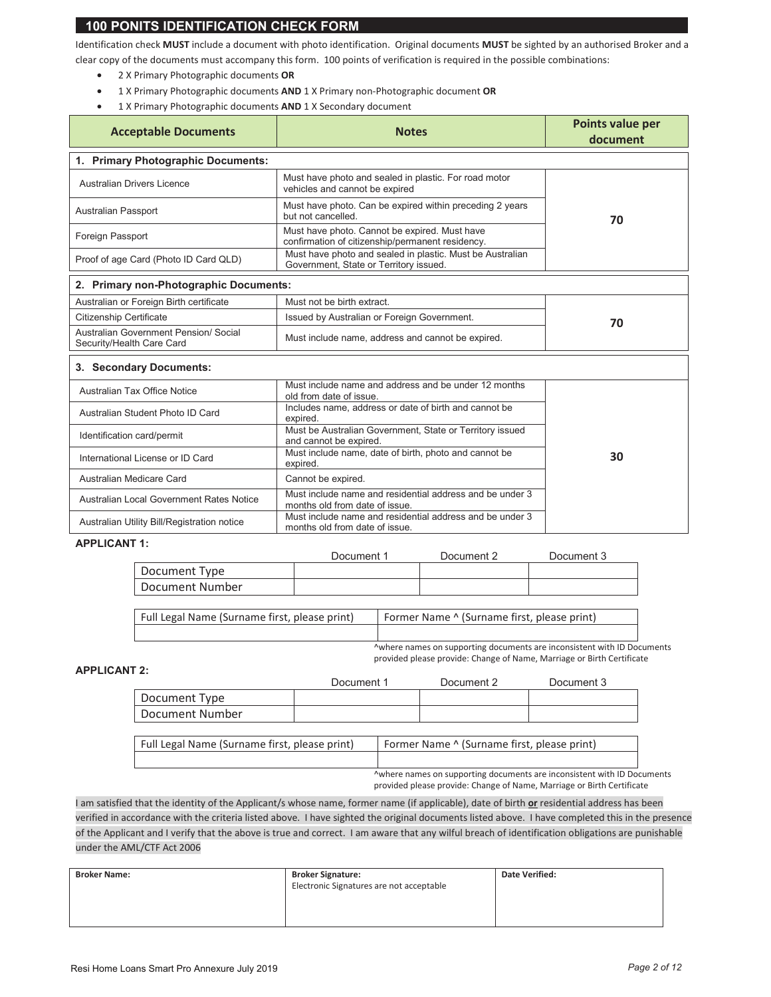#### **100 PONITS IDENTIFICATION CHECK FORM**

Identification check MUST include a document with photo identification. Original documents MUST be sighted by an authorised Broker and a clear copy of the documents must accompany this form. 100 points of verification is required in the possible combinations:

- 2 X Primary Photographic documents OR  $\bullet$
- 1 X Primary Photographic documents AND 1 X Primary non-Photographic document OR  $\bullet$
- 1 X Primary Photographic documents AND 1 X Secondary document  $\bullet$

| <b>Acceptable Documents</b>                                        | <b>Notes</b>                                                                                        | Points value per<br>document |  |  |
|--------------------------------------------------------------------|-----------------------------------------------------------------------------------------------------|------------------------------|--|--|
| 1. Primary Photographic Documents:                                 |                                                                                                     |                              |  |  |
| <b>Australian Drivers Licence</b>                                  | Must have photo and sealed in plastic. For road motor<br>vehicles and cannot be expired             |                              |  |  |
| <b>Australian Passport</b>                                         | Must have photo. Can be expired within preceding 2 years<br>but not cancelled.                      | 70                           |  |  |
| Foreign Passport                                                   | Must have photo. Cannot be expired. Must have<br>confirmation of citizenship/permanent residency.   |                              |  |  |
| Proof of age Card (Photo ID Card QLD)                              | Must have photo and sealed in plastic. Must be Australian<br>Government, State or Territory issued. |                              |  |  |
| 2. Primary non-Photographic Documents:                             |                                                                                                     |                              |  |  |
| Australian or Foreign Birth certificate                            | Must not be birth extract.                                                                          |                              |  |  |
| <b>Citizenship Certificate</b>                                     | Issued by Australian or Foreign Government.                                                         | 70                           |  |  |
| Australian Government Pension/ Social<br>Security/Health Care Card | Must include name, address and cannot be expired.                                                   |                              |  |  |
| 3. Secondary Documents:                                            |                                                                                                     |                              |  |  |
| <b>Australian Tax Office Notice</b>                                | Must include name and address and be under 12 months<br>old from date of issue.                     |                              |  |  |
| Australian Student Photo ID Card                                   | Includes name, address or date of birth and cannot be<br>expired.                                   |                              |  |  |
| Identification card/permit                                         | Must be Australian Government, State or Territory issued<br>and cannot be expired.                  |                              |  |  |
| International License or ID Card                                   | Must include name, date of birth, photo and cannot be<br>expired.                                   | 30                           |  |  |
| Australian Medicare Card                                           | Cannot be expired.                                                                                  |                              |  |  |
| Australian Local Government Rates Notice                           | Must include name and residential address and be under 3<br>months old from date of issue.          |                              |  |  |
| Australian Utility Bill/Registration notice                        | Must include name and residential address and be under 3<br>months old from date of issue.          |                              |  |  |

#### **APPLICANT 1:**

|                 | Document | Document 2 | Document 3 |
|-----------------|----------|------------|------------|
| Document Type   |          |            |            |
| Document Number |          |            |            |

| Full Legal Name (Surname first, please print) | Former Name ^ (Surname first, please print) |
|-----------------------------------------------|---------------------------------------------|
|                                               |                                             |

^where names on supporting documents are inconsistent with ID Documents provided please provide: Change of Name, Marriage or Birth Certificate

#### **APPLICANT 2:**

|                 | Document 1 | Document 2 | Document 3 |
|-----------------|------------|------------|------------|
| Document Type   |            |            |            |
| Document Number |            |            |            |

Full Legal Name (Surname first, please print) Former Name ^ (Surname first, please print)

> ^where names on supporting documents are inconsistent with ID Documents provided please provide: Change of Name, Marriage or Birth Certificate

I am satisfied that the identity of the Applicant/s whose name, former name (if applicable), date of birth or residential address has been verified in accordance with the criteria listed above. I have sighted the original documents listed above. I have completed this in the presence of the Applicant and I verify that the above is true and correct. I am aware that any wilful breach of identification obligations are punishable under the AML/CTF Act 2006

| <b>Broker Name:</b> | <b>Broker Signature:</b>                 | <b>Date Verified:</b> |
|---------------------|------------------------------------------|-----------------------|
|                     | Electronic Signatures are not acceptable |                       |
|                     |                                          |                       |
|                     |                                          |                       |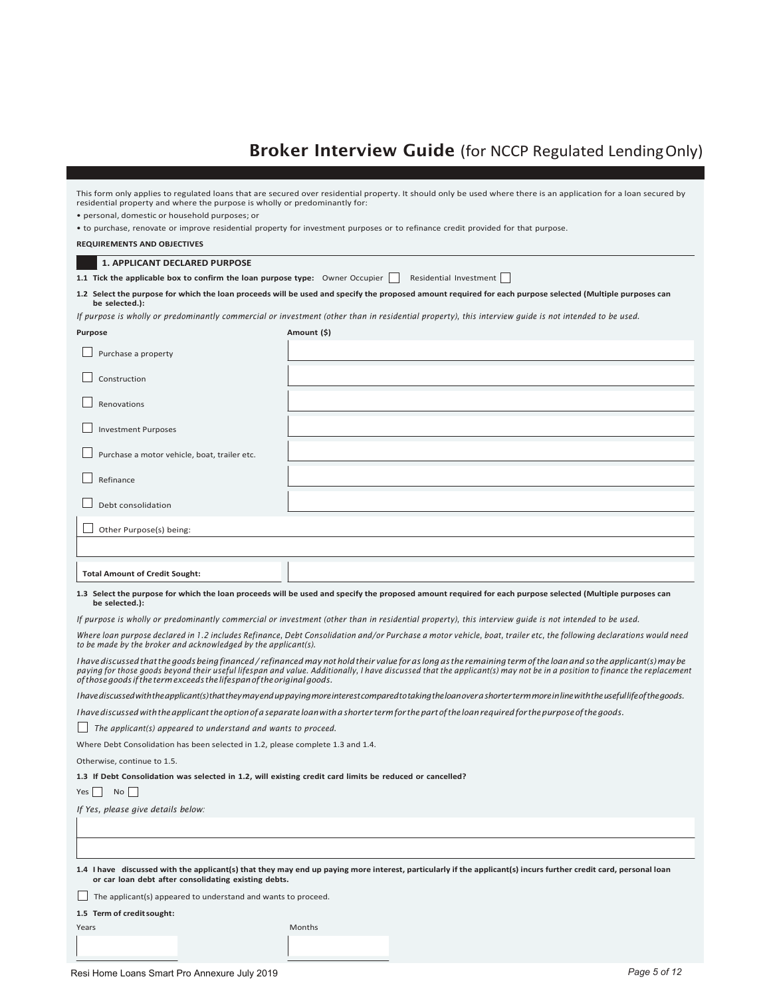### **Broker Interview Guide** (for NCCP Regulated Lending Only)

| residential property and where the purpose is wholly or predominantly for:                               | This form only applies to regulated loans that are secured over residential property. It should only be used where there is an application for a loan secured by                                                                                                                                                                             |  |  |
|----------------------------------------------------------------------------------------------------------|----------------------------------------------------------------------------------------------------------------------------------------------------------------------------------------------------------------------------------------------------------------------------------------------------------------------------------------------|--|--|
| · personal, domestic or household purposes; or                                                           |                                                                                                                                                                                                                                                                                                                                              |  |  |
|                                                                                                          | • to purchase, renovate or improve residential property for investment purposes or to refinance credit provided for that purpose.                                                                                                                                                                                                            |  |  |
| <b>REQUIREMENTS AND OBJECTIVES</b>                                                                       |                                                                                                                                                                                                                                                                                                                                              |  |  |
| <b>1. APPLICANT DECLARED PURPOSE</b>                                                                     |                                                                                                                                                                                                                                                                                                                                              |  |  |
| 1.1 Tick the applicable box to confirm the loan purpose type: Owner Occupier                             | Residential Investment                                                                                                                                                                                                                                                                                                                       |  |  |
| be selected.):                                                                                           | 1.2 Select the purpose for which the loan proceeds will be used and specify the proposed amount required for each purpose selected (Multiple purposes can                                                                                                                                                                                    |  |  |
|                                                                                                          | If purpose is wholly or predominantly commercial or investment (other than in residential property), this interview guide is not intended to be used.                                                                                                                                                                                        |  |  |
| <b>Purpose</b>                                                                                           | Amount (\$)                                                                                                                                                                                                                                                                                                                                  |  |  |
| Purchase a property                                                                                      |                                                                                                                                                                                                                                                                                                                                              |  |  |
| Construction                                                                                             |                                                                                                                                                                                                                                                                                                                                              |  |  |
| Renovations                                                                                              |                                                                                                                                                                                                                                                                                                                                              |  |  |
| <b>Investment Purposes</b>                                                                               |                                                                                                                                                                                                                                                                                                                                              |  |  |
| Purchase a motor vehicle, boat, trailer etc.                                                             |                                                                                                                                                                                                                                                                                                                                              |  |  |
| Refinance                                                                                                |                                                                                                                                                                                                                                                                                                                                              |  |  |
| Debt consolidation                                                                                       |                                                                                                                                                                                                                                                                                                                                              |  |  |
| Other Purpose(s) being:                                                                                  |                                                                                                                                                                                                                                                                                                                                              |  |  |
|                                                                                                          |                                                                                                                                                                                                                                                                                                                                              |  |  |
| <b>Total Amount of Credit Sought:</b>                                                                    |                                                                                                                                                                                                                                                                                                                                              |  |  |
| be selected.):                                                                                           | 1.3 Select the purpose for which the loan proceeds will be used and specify the proposed amount required for each purpose selected (Multiple purposes can                                                                                                                                                                                    |  |  |
|                                                                                                          | If purpose is wholly or predominantly commercial or investment (other than in residential property), this interview guide is not intended to be used.                                                                                                                                                                                        |  |  |
| to be made by the broker and acknowledged by the applicant(s).                                           | Where loan purpose declared in 1.2 includes Refinance, Debt Consolidation and/or Purchase a motor vehicle, boat, trailer etc, the following declarations would need                                                                                                                                                                          |  |  |
| of those goods if the term exceeds the lifespan of the original goods.                                   | I have discussed that the goods being financed / refinanced may not hold their value for as long as the remaining term of the loan and so the applicant(s) may be<br>paying for those goods beyond their useful lifespan and value. Additionally, I have discussed that the applicant(s) may not be in a position to finance the replacement |  |  |
|                                                                                                          | I have discussed with the applicant(s) that they may end up paying more interest compared to taking the loan over a shorter term more in line with the useful life of the goods.                                                                                                                                                             |  |  |
|                                                                                                          | I have discussed with the applicant the option of a separate loan with a shorter term for the part of the loan required for the purpose of the goods.                                                                                                                                                                                        |  |  |
| $\Box$ The applicant(s) appeared to understand and wants to proceed.                                     |                                                                                                                                                                                                                                                                                                                                              |  |  |
| Where Debt Consolidation has been selected in 1.2, please complete 1.3 and 1.4.                          |                                                                                                                                                                                                                                                                                                                                              |  |  |
| Otherwise, continue to 1.5.                                                                              |                                                                                                                                                                                                                                                                                                                                              |  |  |
| 1.3 If Debt Consolidation was selected in 1.2, will existing credit card limits be reduced or cancelled? |                                                                                                                                                                                                                                                                                                                                              |  |  |
| $No$  <br>Yes                                                                                            |                                                                                                                                                                                                                                                                                                                                              |  |  |
| If Yes, please give details below:                                                                       |                                                                                                                                                                                                                                                                                                                                              |  |  |
|                                                                                                          |                                                                                                                                                                                                                                                                                                                                              |  |  |
|                                                                                                          |                                                                                                                                                                                                                                                                                                                                              |  |  |
| or car loan debt after consolidating existing debts.                                                     | 1.4 I have discussed with the applicant(s) that they may end up paying more interest, particularly if the applicant(s) incurs further credit card, personal loan                                                                                                                                                                             |  |  |
| The applicant(s) appeared to understand and wants to proceed.                                            |                                                                                                                                                                                                                                                                                                                                              |  |  |
| 1.5 Term of credit sought:                                                                               |                                                                                                                                                                                                                                                                                                                                              |  |  |
| Years                                                                                                    | Months                                                                                                                                                                                                                                                                                                                                       |  |  |
|                                                                                                          |                                                                                                                                                                                                                                                                                                                                              |  |  |
|                                                                                                          |                                                                                                                                                                                                                                                                                                                                              |  |  |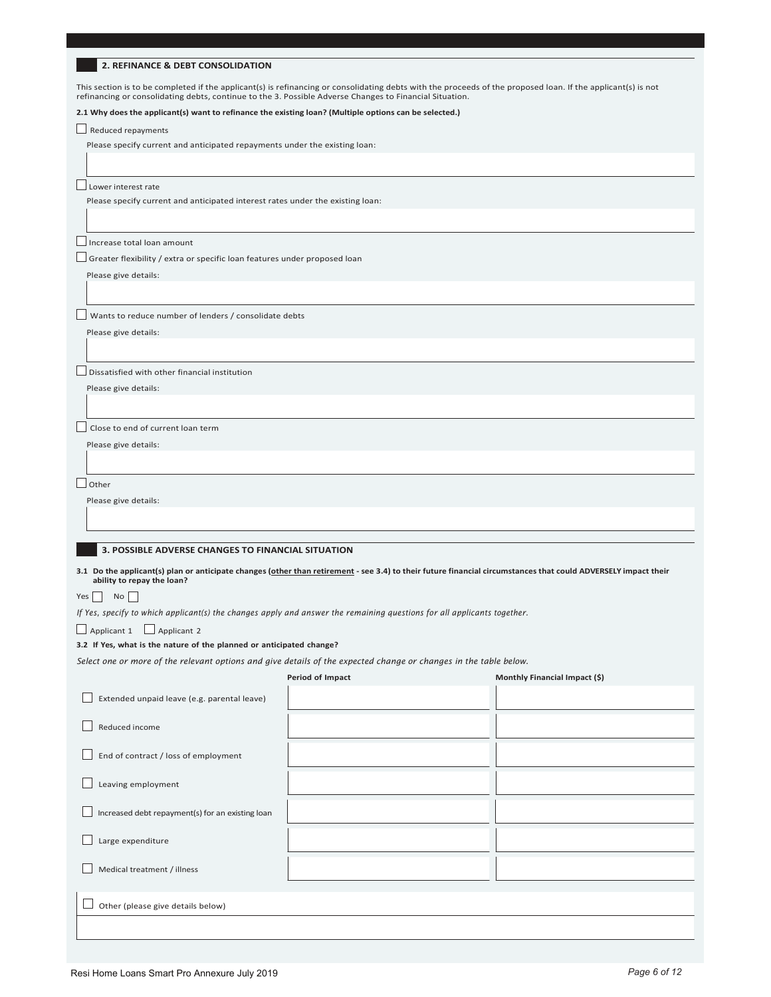This section is to be completed if the applicant(s) is refinancing or consolidating debts with the proceeds of the proposed loan. If the applicant(s) is not<br>refinancing or consolidating debts, continue to the 3. Possible A

#### 2.1 Why does the applicant(s) want to refinance the existing loan? (Multiple options can be selected.)

 $\Box$  Reduced repayments

Please specify current and anticipated repayments under the existing loan:

 $\square$  Lower interest rate

Please specify current and anticipated interest rates under the existing loan:

 $\Box$  Increase total loan amount

 $\Box$  Greater flexibility / extra or specific loan features under proposed loan

Please give details:

 $\Box$  Wants to reduce number of lenders / consolidate debts

Please give details:

 $\Box$  Dissatisfied with other financial institution

Please give details:

 $\Box$  Close to end of current loan term

Please give details:

 $\Box$  Other

Please give details:

#### **3. POSSIBLE ADVERSE CHANGES TO FINANCIAL SITUATION**

3.1 Do the applicant(s) plan or anticipate changes (other than retirement - see 3.4) to their future financial circumstances that could ADVERSELY impact their ability to repay the loan?

 $Yes \ \blacksquare$  No  $\square$ 

If Yes, specify to which applicant(s) the changes apply and answer the remaining questions for all applicants together.

□ Applicant 1 □ Applicant 2

#### 3.2 If Yes, what is the nature of the planned or anticipated change?

Select one or more of the relevant options and give details of the expected change or changes in the table below.

| Period of Impact | Monthly Financial Impact (\$) |
|------------------|-------------------------------|
|                  |                               |

| Extended unpaid leave (e.g. parental leave)      |  |
|--------------------------------------------------|--|
| Reduced income                                   |  |
| End of contract / loss of employment<br>$\sim$ 1 |  |
| Leaving employment                               |  |
| Increased debt repayment(s) for an existing loan |  |
| Large expenditure                                |  |
| Medical treatment / illness                      |  |
|                                                  |  |
|                                                  |  |
|                                                  |  |
| Other (please give details below)                |  |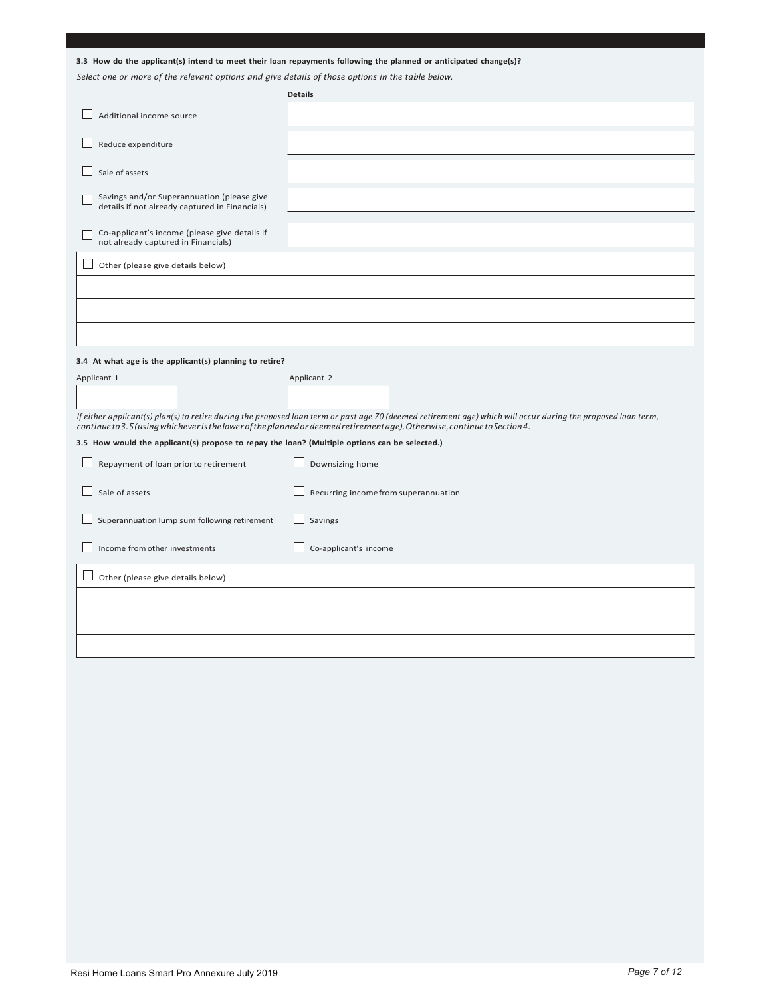|                                                                                                  | 3.3 How do the applicant(s) intend to meet their loan repayments following the planned or anticipated change(s)?                                                                                                                                                                          |
|--------------------------------------------------------------------------------------------------|-------------------------------------------------------------------------------------------------------------------------------------------------------------------------------------------------------------------------------------------------------------------------------------------|
| Select one or more of the relevant options and give details of those options in the table below. | <b>Details</b>                                                                                                                                                                                                                                                                            |
| Additional income source                                                                         |                                                                                                                                                                                                                                                                                           |
| Reduce expenditure                                                                               |                                                                                                                                                                                                                                                                                           |
| Sale of assets                                                                                   |                                                                                                                                                                                                                                                                                           |
| Savings and/or Superannuation (please give<br>details if not already captured in Financials)     |                                                                                                                                                                                                                                                                                           |
| Co-applicant's income (please give details if<br>not already captured in Financials)             |                                                                                                                                                                                                                                                                                           |
| Other (please give details below)                                                                |                                                                                                                                                                                                                                                                                           |
|                                                                                                  |                                                                                                                                                                                                                                                                                           |
|                                                                                                  |                                                                                                                                                                                                                                                                                           |
|                                                                                                  |                                                                                                                                                                                                                                                                                           |
| 3.4 At what age is the applicant(s) planning to retire?                                          |                                                                                                                                                                                                                                                                                           |
| Applicant 1                                                                                      | Applicant 2                                                                                                                                                                                                                                                                               |
|                                                                                                  |                                                                                                                                                                                                                                                                                           |
|                                                                                                  | If either applicant(s) plan(s) to retire during the proposed loan term or past age 70 (deemed retirement age) which will occur during the proposed loan term,<br>continue to 3.5 (using whichever is the lower of the planned or deemed retirementage). Otherwise, continue to Section 4. |
| 3.5 How would the applicant(s) propose to repay the loan? (Multiple options can be selected.)    |                                                                                                                                                                                                                                                                                           |
| Repayment of loan prior to retirement                                                            | Downsizing home                                                                                                                                                                                                                                                                           |
| Sale of assets                                                                                   | Recurring incomefrom superannuation                                                                                                                                                                                                                                                       |
| Superannuation lump sum following retirement                                                     | Savings                                                                                                                                                                                                                                                                                   |
| Income from other investments                                                                    | Co-applicant's income                                                                                                                                                                                                                                                                     |
| Other (please give details below)                                                                |                                                                                                                                                                                                                                                                                           |
|                                                                                                  |                                                                                                                                                                                                                                                                                           |
|                                                                                                  |                                                                                                                                                                                                                                                                                           |
|                                                                                                  |                                                                                                                                                                                                                                                                                           |
|                                                                                                  |                                                                                                                                                                                                                                                                                           |
|                                                                                                  |                                                                                                                                                                                                                                                                                           |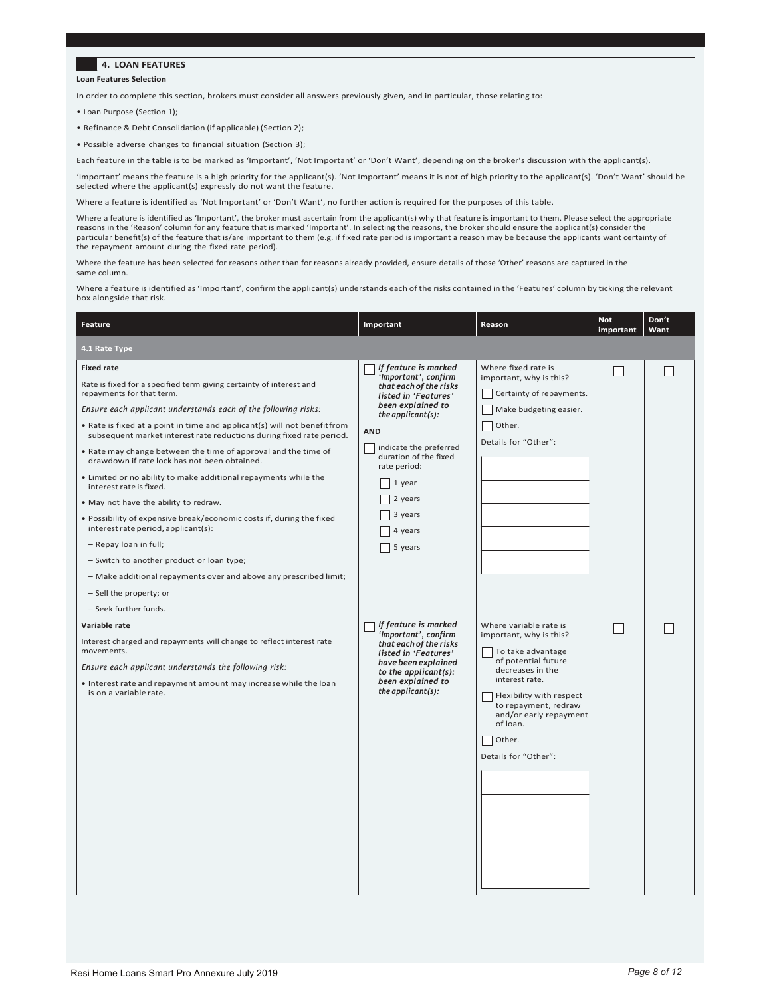#### **4. LOAN FEATURES**

**Loan Features Selection** 

In order to complete this section, brokers must consider all answers previously given, and in particular, those relating to:

• Loan Purpose (Section 1);

- Refinance & Debt Consolidation (if applicable) (Section 2);
- Possible adverse changes to financial situation (Section 3);

Each feature in the table is to be marked as 'Important', 'Not Important' or 'Don't Want', depending on the broker's discussion with the applicant(s).

'Important' means the feature is a high priority for the applicant(s). 'Not Important' means it is not of high priority to the applicant(s). 'Don't Want' should be selected where the applicant(s) expressly do not want the feature.

Where a feature is identified as 'Not Important' or 'Don't Want', no further action is required for the purposes of this table.

Where a feature is identified as 'Important', the broker must ascertain from the applicant(s) why that feature is important to them. Please select the appropriate reasons in the 'Reason' column for any feature that is marked 'Important'. In selecting the reasons, the broker should ensure the applicant(s) consider the<br>particular benefit(s) of the feature that is/are important to them the repayment amount during the fixed rate period).

Where the feature has been selected for reasons other than for reasons already provided, ensure details of those 'Other' reasons are captured in the same column.

Where a feature is identified as 'Important', confirm the applicant(s) understands each of the risks contained in the 'Features' column by ticking the relevant box alongside that risk.

| Feature                                                                                                                                                                                                                                                                                                                                                                                                                                                                                                                                                                                                                                                                                                                                                                                                                                                                                                            | Important                                                                                                                                                                                                                                                                           | Reason                                                                                                                                                                                                                                                          | <b>Not</b><br>important | Don't<br>Want |
|--------------------------------------------------------------------------------------------------------------------------------------------------------------------------------------------------------------------------------------------------------------------------------------------------------------------------------------------------------------------------------------------------------------------------------------------------------------------------------------------------------------------------------------------------------------------------------------------------------------------------------------------------------------------------------------------------------------------------------------------------------------------------------------------------------------------------------------------------------------------------------------------------------------------|-------------------------------------------------------------------------------------------------------------------------------------------------------------------------------------------------------------------------------------------------------------------------------------|-----------------------------------------------------------------------------------------------------------------------------------------------------------------------------------------------------------------------------------------------------------------|-------------------------|---------------|
| 4.1 Rate Type                                                                                                                                                                                                                                                                                                                                                                                                                                                                                                                                                                                                                                                                                                                                                                                                                                                                                                      |                                                                                                                                                                                                                                                                                     |                                                                                                                                                                                                                                                                 |                         |               |
| <b>Fixed rate</b><br>Rate is fixed for a specified term giving certainty of interest and<br>repayments for that term.<br>Ensure each applicant understands each of the following risks:<br>. Rate is fixed at a point in time and applicant(s) will not benefitfrom<br>subsequent market interest rate reductions during fixed rate period.<br>. Rate may change between the time of approval and the time of<br>drawdown if rate lock has not been obtained.<br>. Limited or no ability to make additional repayments while the<br>interest rate is fixed.<br>. May not have the ability to redraw.<br>. Possibility of expensive break/economic costs if, during the fixed<br>interest rate period, applicant(s):<br>- Repay loan in full;<br>- Switch to another product or loan type;<br>- Make additional repayments over and above any prescribed limit;<br>- Sell the property; or<br>- Seek further funds. | If feature is marked<br>'Important', confirm<br>that each of the risks<br>listed in 'Features'<br>been explained to<br>the applicant $(s)$ :<br><b>AND</b><br>indicate the preferred<br>duration of the fixed<br>rate period:<br>1 year<br>2 years<br>3 years<br>4 years<br>5 years | Where fixed rate is<br>important, why is this?<br>Certainty of repayments.<br>Make budgeting easier.<br>Other.<br>Details for "Other":                                                                                                                          |                         |               |
| Variable rate<br>Interest charged and repayments will change to reflect interest rate<br>movements.<br>Ensure each applicant understands the following risk:<br>• Interest rate and repayment amount may increase while the loan<br>is on a variable rate.                                                                                                                                                                                                                                                                                                                                                                                                                                                                                                                                                                                                                                                         | If feature is marked<br>'Important', confirm<br>that each of the risks<br>listed in 'Features'<br>have been explained<br>to the applicant $(s)$ :<br>been explained to<br>the applicant $(s)$ :                                                                                     | Where variable rate is<br>important, why is this?<br>To take advantage<br>of potential future<br>decreases in the<br>interest rate.<br>Flexibility with respect<br>to repayment, redraw<br>and/or early repayment<br>of loan.<br>Other.<br>Details for "Other": | L                       |               |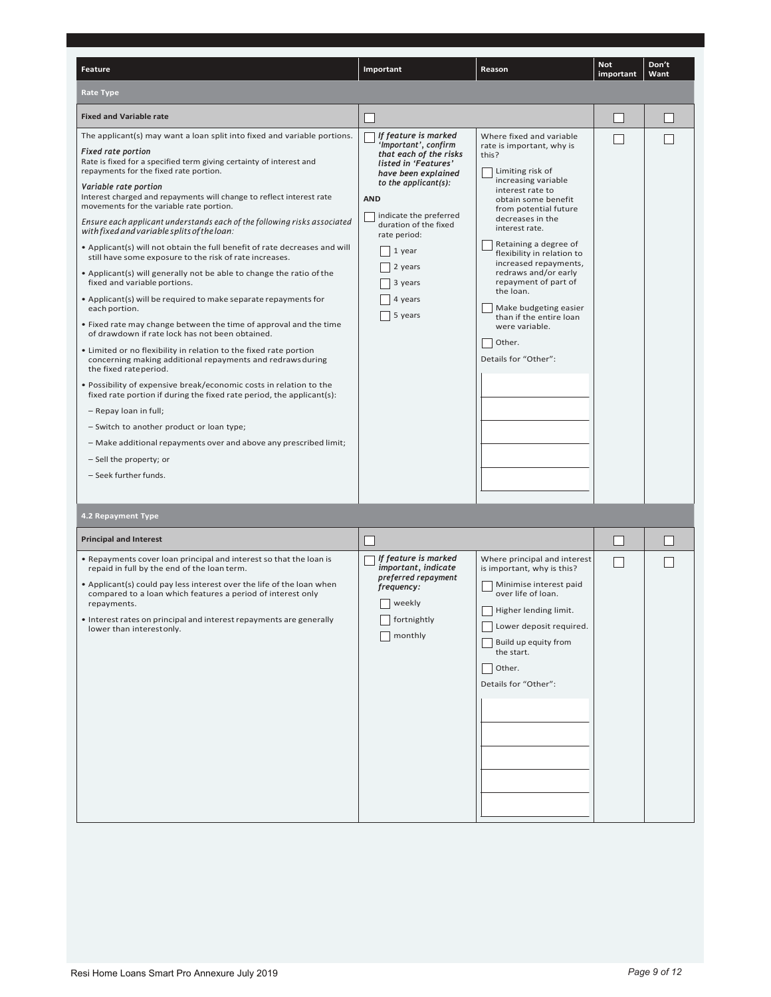| Feature                                                                                                                                                                                                                                                                                                                                                                                                                                                                                                                                                                                                                                                                                                                                                                                                                                                                                                                                                                                                                                                                                                                                                                                                                                                                                                                                                                                                                                                               | Important                                                                                                                                                                                                                                                                            | Reason                                                                                                                                                                                                                                                                                                                                                                                                                                                                   | <b>Not</b><br>important | Don't<br>Want |
|-----------------------------------------------------------------------------------------------------------------------------------------------------------------------------------------------------------------------------------------------------------------------------------------------------------------------------------------------------------------------------------------------------------------------------------------------------------------------------------------------------------------------------------------------------------------------------------------------------------------------------------------------------------------------------------------------------------------------------------------------------------------------------------------------------------------------------------------------------------------------------------------------------------------------------------------------------------------------------------------------------------------------------------------------------------------------------------------------------------------------------------------------------------------------------------------------------------------------------------------------------------------------------------------------------------------------------------------------------------------------------------------------------------------------------------------------------------------------|--------------------------------------------------------------------------------------------------------------------------------------------------------------------------------------------------------------------------------------------------------------------------------------|--------------------------------------------------------------------------------------------------------------------------------------------------------------------------------------------------------------------------------------------------------------------------------------------------------------------------------------------------------------------------------------------------------------------------------------------------------------------------|-------------------------|---------------|
| <b>Rate Type</b>                                                                                                                                                                                                                                                                                                                                                                                                                                                                                                                                                                                                                                                                                                                                                                                                                                                                                                                                                                                                                                                                                                                                                                                                                                                                                                                                                                                                                                                      |                                                                                                                                                                                                                                                                                      |                                                                                                                                                                                                                                                                                                                                                                                                                                                                          |                         |               |
| <b>Fixed and Variable rate</b>                                                                                                                                                                                                                                                                                                                                                                                                                                                                                                                                                                                                                                                                                                                                                                                                                                                                                                                                                                                                                                                                                                                                                                                                                                                                                                                                                                                                                                        |                                                                                                                                                                                                                                                                                      |                                                                                                                                                                                                                                                                                                                                                                                                                                                                          |                         |               |
| The applicant(s) may want a loan split into fixed and variable portions.<br><b>Fixed rate portion</b><br>Rate is fixed for a specified term giving certainty of interest and<br>repayments for the fixed rate portion.<br>Variable rate portion<br>Interest charged and repayments will change to reflect interest rate<br>movements for the variable rate portion.<br>Ensure each applicant understands each of the following risks associated<br>with fixed and variable splits of the loan:<br>• Applicant(s) will not obtain the full benefit of rate decreases and will<br>still have some exposure to the risk of rate increases.<br>• Applicant(s) will generally not be able to change the ratio of the<br>fixed and variable portions.<br>• Applicant(s) will be required to make separate repayments for<br>each portion.<br>• Fixed rate may change between the time of approval and the time<br>of drawdown if rate lock has not been obtained.<br>. Limited or no flexibility in relation to the fixed rate portion<br>concerning making additional repayments and redraws during<br>the fixed rateperiod.<br>. Possibility of expensive break/economic costs in relation to the<br>fixed rate portion if during the fixed rate period, the applicant(s):<br>- Repay loan in full;<br>- Switch to another product or loan type;<br>- Make additional repayments over and above any prescribed limit;<br>- Sell the property; or<br>- Seek further funds. | If feature is marked<br>'Important', confirm<br>that each of the risks<br>listed in 'Features'<br>have been explained<br>to the applicant(s):<br><b>AND</b><br>indicate the preferred<br>duration of the fixed<br>rate period:<br>1 year<br>2 years<br>3 years<br>4 years<br>5 years | Where fixed and variable<br>rate is important, why is<br>this?<br>Limiting risk of<br>increasing variable<br>interest rate to<br>obtain some benefit<br>from potential future<br>decreases in the<br>interest rate.<br>Retaining a degree of<br>flexibility in relation to<br>increased repayments,<br>redraws and/or early<br>repayment of part of<br>the loan.<br>Make budgeting easier<br>than if the entire loan<br>were variable.<br>Other.<br>Details for "Other": |                         |               |
| 4.2 Repayment Type                                                                                                                                                                                                                                                                                                                                                                                                                                                                                                                                                                                                                                                                                                                                                                                                                                                                                                                                                                                                                                                                                                                                                                                                                                                                                                                                                                                                                                                    |                                                                                                                                                                                                                                                                                      |                                                                                                                                                                                                                                                                                                                                                                                                                                                                          |                         |               |
| <b>Principal and Interest</b>                                                                                                                                                                                                                                                                                                                                                                                                                                                                                                                                                                                                                                                                                                                                                                                                                                                                                                                                                                                                                                                                                                                                                                                                                                                                                                                                                                                                                                         |                                                                                                                                                                                                                                                                                      |                                                                                                                                                                                                                                                                                                                                                                                                                                                                          |                         |               |
| . Repayments cover loan principal and interest so that the loan is<br>repaid in full by the end of the loan term.<br>• Applicant(s) could pay less interest over the life of the loan when<br>compared to a loan which features a period of interest only<br>repayments.<br>• Interest rates on principal and interest repayments are generally<br>lower than interestonly.                                                                                                                                                                                                                                                                                                                                                                                                                                                                                                                                                                                                                                                                                                                                                                                                                                                                                                                                                                                                                                                                                           | If feature is marked<br>important, indicate<br>preferred repayment<br>frequency:<br>weekly<br>fortnightly<br>monthly                                                                                                                                                                 | Where principal and interest<br>is important, why is this?<br>Minimise interest paid<br>over life of loan.<br>Higher lending limit.<br>Lower deposit required.<br>Build up equity from<br>the start.<br>Other.<br>Details for "Other":                                                                                                                                                                                                                                   |                         |               |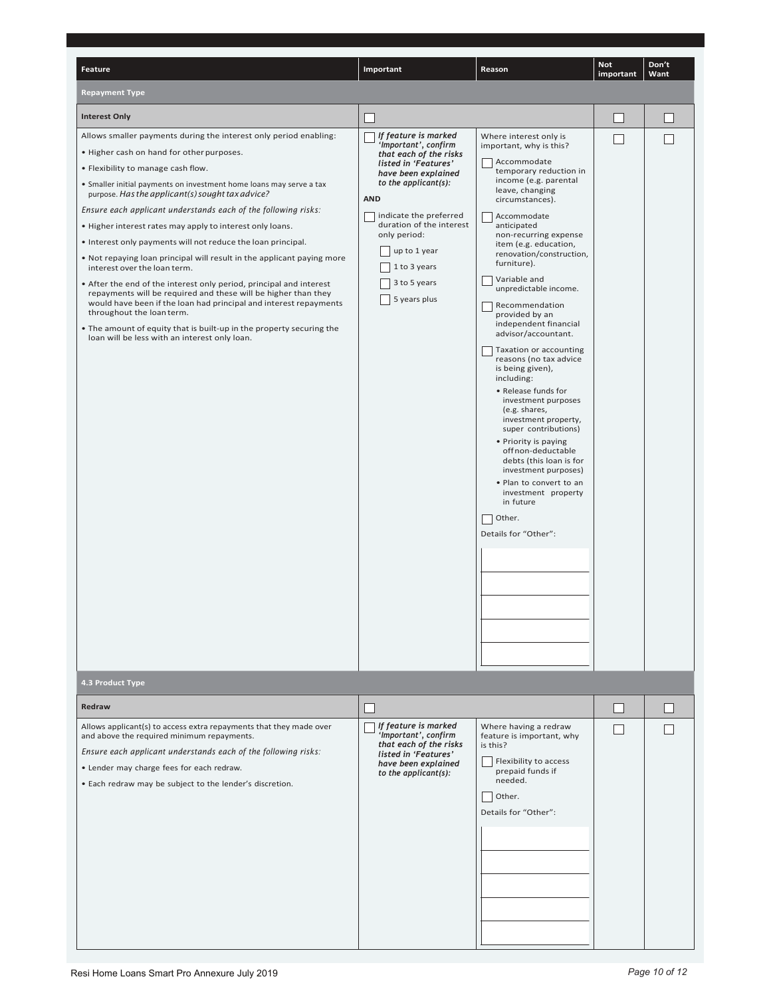| <b>Feature</b>                                                                                                                                                                                                                                                                                                                                                                                                                                                                                                                                                                                                                                                                                                                                                                                                                                                                                                                                               | Important                                                                                                                                                                                                                                                                                             | Reason                                                                                                                                                                                                                                                                                                                                                                                                                                                                                                                                                                                                                                                                                                                                                                                                                   | <b>Not</b><br>important | Don't<br>Want |
|--------------------------------------------------------------------------------------------------------------------------------------------------------------------------------------------------------------------------------------------------------------------------------------------------------------------------------------------------------------------------------------------------------------------------------------------------------------------------------------------------------------------------------------------------------------------------------------------------------------------------------------------------------------------------------------------------------------------------------------------------------------------------------------------------------------------------------------------------------------------------------------------------------------------------------------------------------------|-------------------------------------------------------------------------------------------------------------------------------------------------------------------------------------------------------------------------------------------------------------------------------------------------------|--------------------------------------------------------------------------------------------------------------------------------------------------------------------------------------------------------------------------------------------------------------------------------------------------------------------------------------------------------------------------------------------------------------------------------------------------------------------------------------------------------------------------------------------------------------------------------------------------------------------------------------------------------------------------------------------------------------------------------------------------------------------------------------------------------------------------|-------------------------|---------------|
| <b>Repayment Type</b>                                                                                                                                                                                                                                                                                                                                                                                                                                                                                                                                                                                                                                                                                                                                                                                                                                                                                                                                        |                                                                                                                                                                                                                                                                                                       |                                                                                                                                                                                                                                                                                                                                                                                                                                                                                                                                                                                                                                                                                                                                                                                                                          |                         |               |
| <b>Interest Only</b>                                                                                                                                                                                                                                                                                                                                                                                                                                                                                                                                                                                                                                                                                                                                                                                                                                                                                                                                         |                                                                                                                                                                                                                                                                                                       |                                                                                                                                                                                                                                                                                                                                                                                                                                                                                                                                                                                                                                                                                                                                                                                                                          |                         |               |
| Allows smaller payments during the interest only period enabling:<br>. Higher cash on hand for other purposes.<br>• Flexibility to manage cash flow.<br>• Smaller initial payments on investment home loans may serve a tax<br>purpose. Has the applicant(s) sought tax advice?<br>Ensure each applicant understands each of the following risks:<br>. Higher interest rates may apply to interest only loans.<br>• Interest only payments will not reduce the loan principal.<br>. Not repaying loan principal will result in the applicant paying more<br>interest over the loan term.<br>• After the end of the interest only period, principal and interest<br>repayments will be required and these will be higher than they<br>would have been if the loan had principal and interest repayments<br>throughout the loan term.<br>• The amount of equity that is built-up in the property securing the<br>loan will be less with an interest only loan. | If feature is marked<br>'Important', confirm<br>that each of the risks<br>listed in 'Features'<br>have been explained<br>to the applicant $(s)$ :<br><b>AND</b><br>indicate the preferred<br>duration of the interest<br>only period:<br>up to 1 year<br>1 to 3 years<br>3 to 5 years<br>5 years plus | Where interest only is<br>important, why is this?<br>Accommodate<br>temporary reduction in<br>income (e.g. parental<br>leave, changing<br>circumstances).<br>Accommodate<br>anticipated<br>non-recurring expense<br>item (e.g. education,<br>renovation/construction,<br>furniture).<br>Variable and<br>unpredictable income.<br>Recommendation<br>provided by an<br>independent financial<br>advisor/accountant.<br>Taxation or accounting<br>reasons (no tax advice<br>is being given),<br>including:<br>• Release funds for<br>investment purposes<br>(e.g. shares,<br>investment property,<br>super contributions)<br>• Priority is paying<br>off non-deductable<br>debts (this loan is for<br>investment purposes)<br>. Plan to convert to an<br>investment property<br>in future<br>Other.<br>Details for "Other": |                         |               |
| 4.3 Product Type                                                                                                                                                                                                                                                                                                                                                                                                                                                                                                                                                                                                                                                                                                                                                                                                                                                                                                                                             |                                                                                                                                                                                                                                                                                                       |                                                                                                                                                                                                                                                                                                                                                                                                                                                                                                                                                                                                                                                                                                                                                                                                                          |                         |               |
| Redraw                                                                                                                                                                                                                                                                                                                                                                                                                                                                                                                                                                                                                                                                                                                                                                                                                                                                                                                                                       |                                                                                                                                                                                                                                                                                                       |                                                                                                                                                                                                                                                                                                                                                                                                                                                                                                                                                                                                                                                                                                                                                                                                                          |                         |               |
| Allows applicant(s) to access extra repayments that they made over<br>and above the required minimum repayments.<br>Ensure each applicant understands each of the following risks:<br>• Lender may charge fees for each redraw.<br>. Each redraw may be subject to the lender's discretion.                                                                                                                                                                                                                                                                                                                                                                                                                                                                                                                                                                                                                                                                  | If feature is marked<br>'Important', confirm<br>that each of the risks<br>listed in 'Features'<br>have been explained<br>to the applicant $(s)$ :                                                                                                                                                     | Where having a redraw<br>feature is important, why<br>is this?<br>Flexibility to access<br>prepaid funds if<br>needed.<br>Other.<br>Details for "Other":                                                                                                                                                                                                                                                                                                                                                                                                                                                                                                                                                                                                                                                                 |                         |               |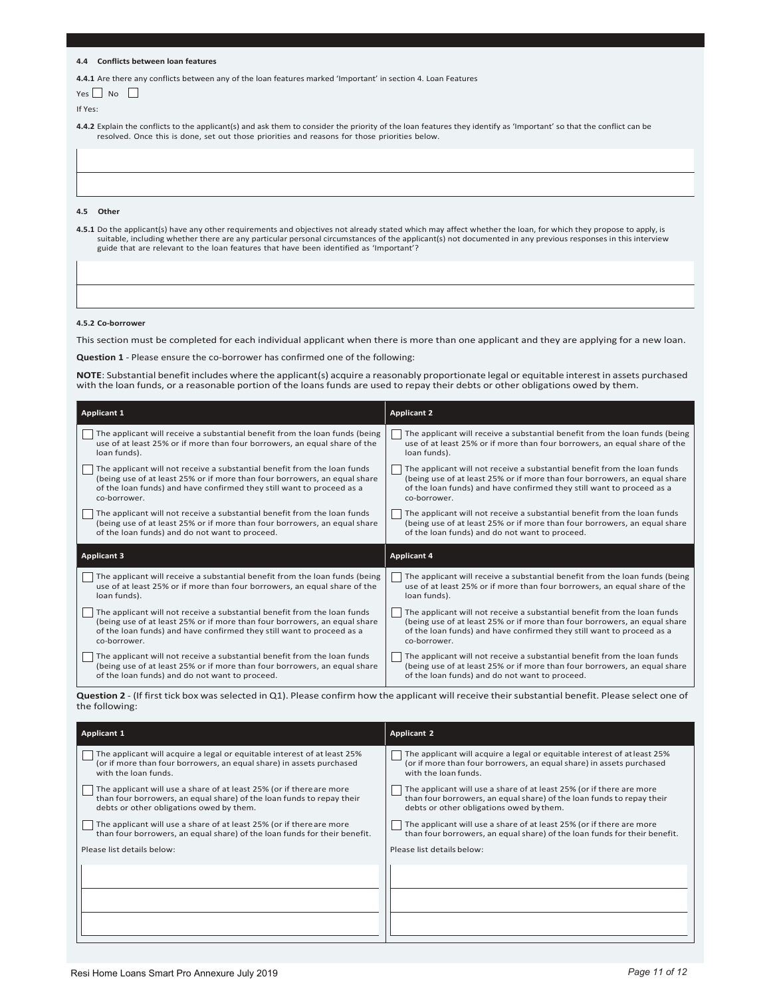#### **4.4 Conflicts between loan features**

4.4.1 Are there any conflicts between any of the loan features marked 'Important' in section 4. Loan Features

| $\mathbf{r}$<br>YΑς | NΩ |  |
|---------------------|----|--|
|---------------------|----|--|

If Yes:

4.4.2 Explain the conflicts to the applicant(s) and ask them to consider the priority of the loan features they identify as 'Important' so that the conflict can be resolved. Once this is done, set out those priorities and reasons for those priorities below.

4.5 Other

4.5.1 Do the applicant(s) have any other requirements and objectives not already stated which may affect whether the loan, for which they propose to apply, is suitable, including whether there are any particular personal circumstances of the applicant(s) not documented in any previous responses in this interview guide that are relevant to the loan features that have been identified as 'Important'?

#### **4.5.2 Co-borrower**

This section must be completed for each individual applicant when there is more than one applicant and they are applying for a new loan.

**Question 1** - Please ensure the co-borrower has confirmed one of the following:

**NOTE**: Substantial benefit includes where the applicant(s) acquire a reasonably proportionate legal or equitable interest in assets purchased with the loan funds, or a reasonable portion of the loans funds are used to repay their debts or other obligations owed by them.

| <b>Applicant 1</b>                                                          | <b>Applicant 2</b>                                                          |
|-----------------------------------------------------------------------------|-----------------------------------------------------------------------------|
| The applicant will receive a substantial benefit from the loan funds (being | The applicant will receive a substantial benefit from the loan funds (being |
| use of at least 25% or if more than four borrowers, an equal share of the   | use of at least 25% or if more than four borrowers, an equal share of the   |
| loan funds).                                                                | loan funds).                                                                |
| The applicant will not receive a substantial benefit from the loan funds    | The applicant will not receive a substantial benefit from the loan funds    |
| (being use of at least 25% or if more than four borrowers, an equal share   | (being use of at least 25% or if more than four borrowers, an equal share   |
| of the loan funds) and have confirmed they still want to proceed as a       | of the loan funds) and have confirmed they still want to proceed as a       |
| co-borrower.                                                                | co-borrower.                                                                |
| The applicant will not receive a substantial benefit from the loan funds    | The applicant will not receive a substantial benefit from the loan funds    |
| (being use of at least 25% or if more than four borrowers, an equal share   | (being use of at least 25% or if more than four borrowers, an equal share   |
| of the loan funds) and do not want to proceed.                              | of the loan funds) and do not want to proceed.                              |
|                                                                             |                                                                             |
| <b>Applicant 3</b>                                                          | <b>Applicant 4</b>                                                          |
| The applicant will receive a substantial benefit from the loan funds (being | The applicant will receive a substantial benefit from the loan funds (being |
| use of at least 25% or if more than four borrowers, an equal share of the   | use of at least 25% or if more than four borrowers, an equal share of the   |
| loan funds).                                                                | loan funds).                                                                |
| The applicant will not receive a substantial benefit from the loan funds    | The applicant will not receive a substantial benefit from the loan funds    |
| (being use of at least 25% or if more than four borrowers, an equal share   | (being use of at least 25% or if more than four borrowers, an equal share   |
| of the loan funds) and have confirmed they still want to proceed as a       | of the loan funds) and have confirmed they still want to proceed as a       |
| co-borrower.                                                                | co-borrower.                                                                |

Question 2 - (If first tick box was selected in Q1). Please confirm how the applicant will receive their substantial benefit. Please select one of the following:

| <b>Applicant 1</b>                                                                                                                                                                        | <b>Applicant 2</b>                                                                                                                                                                        |
|-------------------------------------------------------------------------------------------------------------------------------------------------------------------------------------------|-------------------------------------------------------------------------------------------------------------------------------------------------------------------------------------------|
| The applicant will acquire a legal or equitable interest of at least 25%<br>(or if more than four borrowers, an equal share) in assets purchased<br>with the loan funds.                  | The applicant will acquire a legal or equitable interest of at least 25%<br>(or if more than four borrowers, an equal share) in assets purchased<br>with the loan funds.                  |
| The applicant will use a share of at least 25% (or if there are more<br>than four borrowers, an equal share) of the loan funds to repay their<br>debts or other obligations owed by them. | The applicant will use a share of at least 25% (or if there are more<br>than four borrowers, an equal share) of the loan funds to repay their<br>debts or other obligations owed by them. |
| The applicant will use a share of at least 25% (or if there are more<br>than four borrowers, an equal share) of the loan funds for their benefit.                                         | The applicant will use a share of at least 25% (or if there are more<br>than four borrowers, an equal share) of the loan funds for their benefit.                                         |
| Please list details below:                                                                                                                                                                | Please list details below:                                                                                                                                                                |
|                                                                                                                                                                                           |                                                                                                                                                                                           |
|                                                                                                                                                                                           |                                                                                                                                                                                           |
|                                                                                                                                                                                           |                                                                                                                                                                                           |
|                                                                                                                                                                                           |                                                                                                                                                                                           |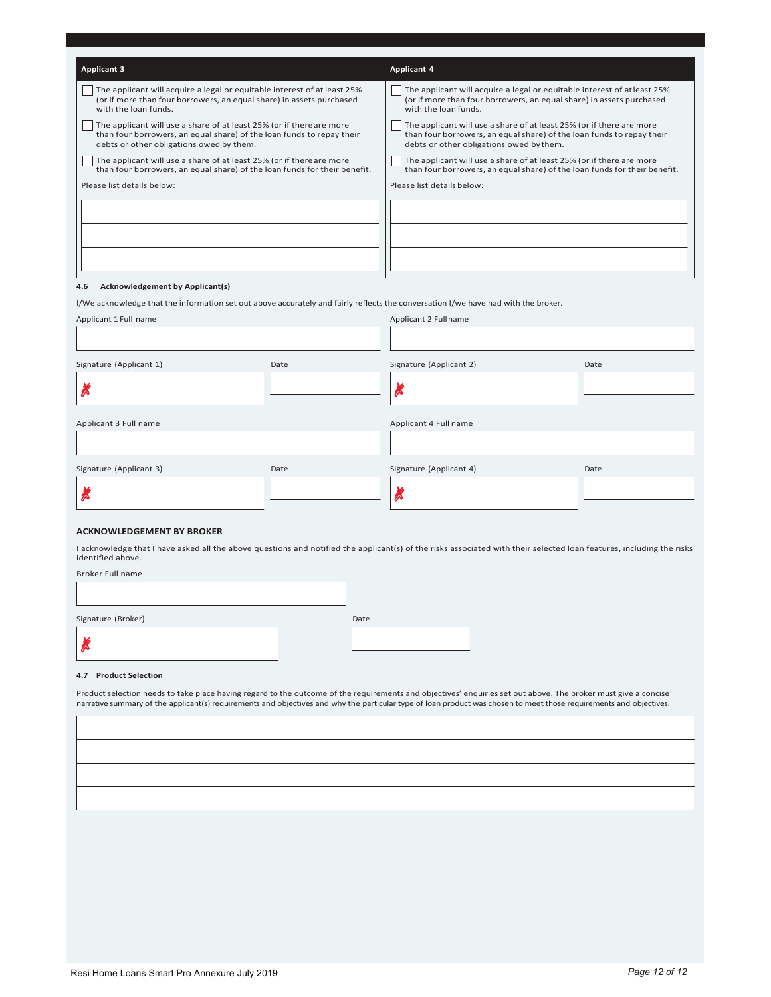| <b>Applicant 3</b>                                                                                                                                                                        | <b>Applicant 4</b>                                                                                                                                                                        |
|-------------------------------------------------------------------------------------------------------------------------------------------------------------------------------------------|-------------------------------------------------------------------------------------------------------------------------------------------------------------------------------------------|
| The applicant will acquire a legal or equitable interest of at least 25%<br>(or if more than four borrowers, an equal share) in assets purchased<br>with the loan funds.                  | The applicant will acquire a legal or equitable interest of at least 25%<br>(or if more than four borrowers, an equal share) in assets purchased<br>with the loan funds.                  |
| The applicant will use a share of at least 25% (or if there are more<br>than four borrowers, an equal share) of the loan funds to repay their<br>debts or other obligations owed by them. | The applicant will use a share of at least 25% (or if there are more<br>than four borrowers, an equal share) of the loan funds to repay their<br>debts or other obligations owed by them. |
| The applicant will use a share of at least 25% (or if there are more<br>than four borrowers, an equal share) of the loan funds for their benefit.                                         | The applicant will use a share of at least 25% (or if there are more<br>than four borrowers, an equal share) of the loan funds for their benefit.                                         |
| Please list details below:                                                                                                                                                                | Please list details below:                                                                                                                                                                |
|                                                                                                                                                                                           |                                                                                                                                                                                           |
| <b>Acknowledgement by Applicant(s)</b><br>4.6                                                                                                                                             |                                                                                                                                                                                           |
| I/We acknowledge that the information set out above accurately and fairly reflects the conversation I/we have had with the broker.                                                        |                                                                                                                                                                                           |

| Applicant 1 Full name   |      | Applicant 2 Fullname    |      |
|-------------------------|------|-------------------------|------|
|                         |      |                         |      |
| Signature (Applicant 1) | Date | Signature (Applicant 2) | Date |
| R                       |      |                         |      |
| Applicant 3 Full name   |      | Applicant 4 Full name   |      |
|                         |      |                         |      |
| Signature (Applicant 3) | Date | Signature (Applicant 4) | Date |
| ∞                       |      |                         |      |
|                         |      |                         |      |

#### **ACKNOWLEDGEMENT BY BROKER**

I acknowledge that I have asked all the above questions and notified the applicant(s) of the risks associated with their selected loan features, including the risks identified above.

Broker Full name

Signature (Broker)

ᅞ

| Date |  |  |  |
|------|--|--|--|
|      |  |  |  |
|      |  |  |  |
|      |  |  |  |

#### 4.7 Product Selection

Product selection needs to take place having regard to the outcome of the requirements and objectives' enquiries set out above. The broker must give a concise<br>narrative summary of the applicant(s) requirements and objectiv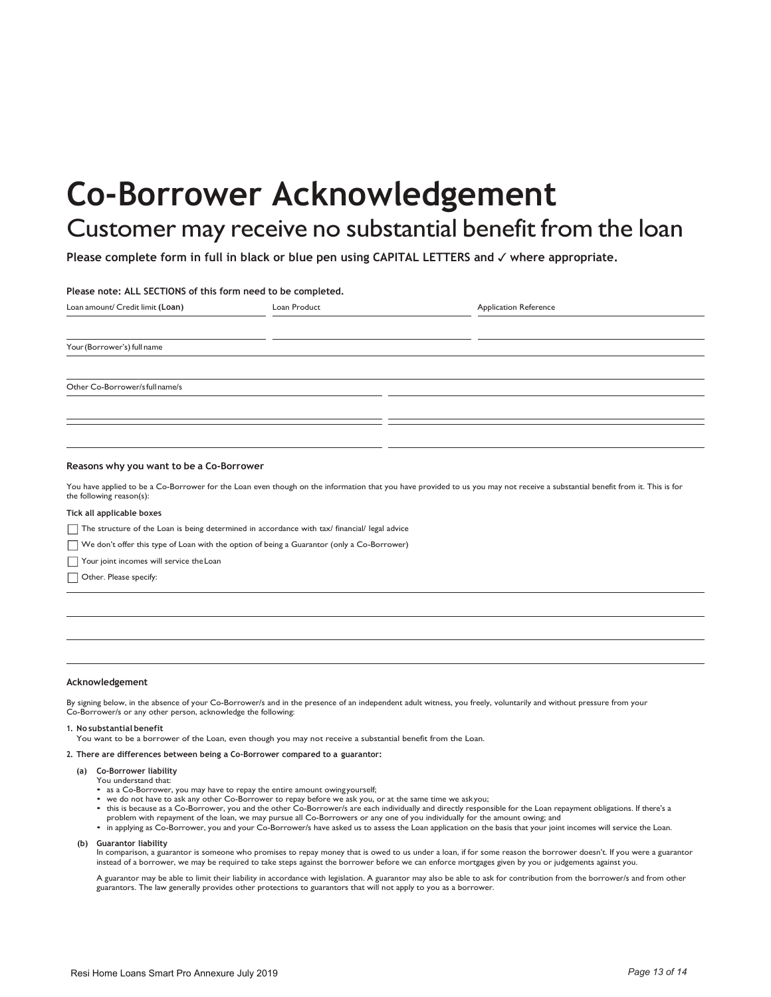# **Co-Borrower Acknowledgement**

## Customer may receive no substantial benefit from the loan

Please complete form in full in black or blue pen using CAPITAL LETTERS and √ where appropriate.

#### Please note: ALL SECTIONS of this form need to be completed.

| Loan amount/ Credit limit (Loan) | Loan Product | <b>Application Reference</b> |  |
|----------------------------------|--------------|------------------------------|--|
|                                  |              |                              |  |
| Your (Borrower's) full name      |              |                              |  |
|                                  |              |                              |  |
| Other Co-Borrower/s full name/s  |              |                              |  |
|                                  |              |                              |  |
|                                  |              |                              |  |
|                                  |              |                              |  |

#### Reasons why you want to be a Co-Borrower

You have applied to be a Co-Borrower for the Loan even though on the information that you have provided to us you may not receive a substantial benefit from it. This is for the following reason(s):

#### Tick all applicable boxes

The structure of the Loan is being determined in accordance with tax/ financial/ legal advice

We don't offer this type of Loan with the option of being a Guarantor (only a Co-Borrower)

Your joint incomes will service the Loan

Other. Please specify:

#### Acknowledgement

By signing below, in the absence of your Co-Borrower/s and in the presence of an independent adult witness, you freely, voluntarily and without pressure from your Co-Borrower/s or any other person, acknowledge the following:

#### 1. No substantial benefit

You want to be a borrower of the Loan, even though you may not receive a substantial benefit from the Loan.

#### 2. There are differences between being a Co-Borrower compared to a guarantor:

- (a) Co-Borrower liability
	- You understand that:
	- as a Co-Borrower, you may have to repay the entire amount owingyourself;
	- we do not have to ask any other Co-Borrower to repay before we ask you, or at the same time we askyou;<br>• this is because as a Co-Borrower, you and the other Co-Borrower/s are each individually and directly responsible fo problem with repayment of the loan, we may pursue all Co-Borrowers or any one of you individually for the amount owing; and
	- . in applying as Co-Borrower, you and your Co-Borrower/s have asked us to assess the Loan application on the basis that your joint incomes will service the Loan.
- (b) Guarantor liability

In comparison, a guarantor is someone who promises to repay money that is owed to us under a loan, if for some reason the borrower doesn't. If you were a guarantor instead of a borrower, we may be required to take steps against the borrower before we can enforce mortgages given by you or judgements against you.

A guarantor may be able to limit their liability in accordance with legislation. A guarantor may also be able to ask for contribution from the borrower/s and from other guarantors. The law generally provides other protections to guarantors that will not apply to you as a borrower.